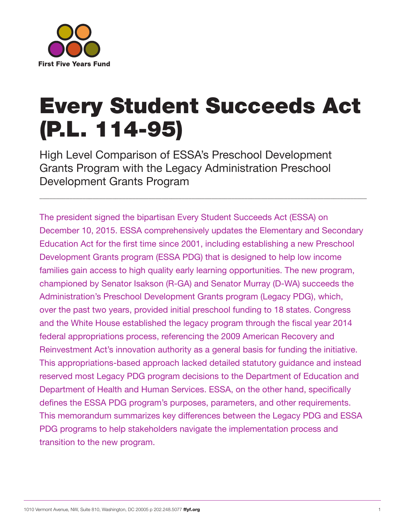

# Every Student Succeeds Act (P.L. 114-95)

\_\_\_\_\_\_\_\_\_\_\_\_\_\_\_\_\_\_\_\_\_\_\_\_\_\_\_\_\_\_\_\_\_\_\_\_\_\_\_\_\_\_\_\_\_\_\_\_\_\_\_\_\_\_\_\_\_\_\_\_\_\_\_\_\_\_\_\_\_\_\_\_\_\_\_\_\_\_\_\_\_\_\_\_\_\_\_\_\_\_\_\_\_\_\_\_\_\_\_

High Level Comparison of ESSA's Preschool Development Grants Program with the Legacy Administration Preschool Development Grants Program

The president signed the bipartisan Every Student Succeeds Act (ESSA) on December 10, 2015. ESSA comprehensively updates the Elementary and Secondary Education Act for the first time since 2001, including establishing a new Preschool Development Grants program (ESSA PDG) that is designed to help low income families gain access to high quality early learning opportunities. The new program, championed by Senator Isakson (R-GA) and Senator Murray (D-WA) succeeds the Administration's Preschool Development Grants program (Legacy PDG), which, over the past two years, provided initial preschool funding to 18 states. Congress and the White House established the legacy program through the fiscal year 2014 federal appropriations process, referencing the 2009 American Recovery and Reinvestment Act's innovation authority as a general basis for funding the initiative. This appropriations-based approach lacked detailed statutory guidance and instead reserved most Legacy PDG program decisions to the Department of Education and Department of Health and Human Services. ESSA, on the other hand, specifically defines the ESSA PDG program's purposes, parameters, and other requirements. This memorandum summarizes key differences between the Legacy PDG and ESSA PDG programs to help stakeholders navigate the implementation process and transition to the new program.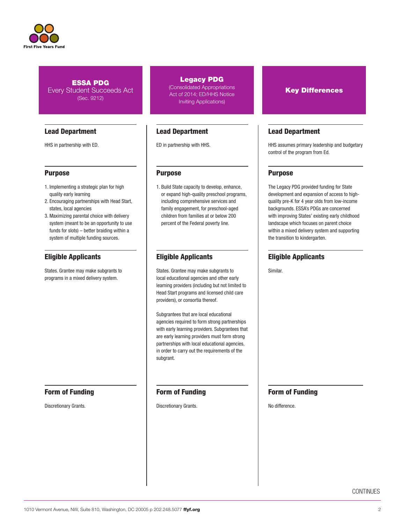

## Lead Department

HHS in partnership with ED.

## Purpose

- 1. Implementing a strategic plan for high quality early learning
- 2. Encouraging partnerships with Head Start, states, local agencies
- 3. Maximizing parental choice with delivery system (meant to be an opportunity to use funds for slots) – better braiding within a system of multiple funding sources.

## Eligible Applicants

States. Grantee may make subgrants to programs in a mixed delivery system.

Form of Funding

Discretionary Grants.

### Legacy PDG

(Consolidated Appropriations Act of 2014; ED/HHS Notice Inviting Applications)

## Lead Department

ED in partnership with HHS.

## Purpose

1. Build State capacity to develop, enhance, or expand high-quality preschool programs, including comprehensive services and family engagement, for preschool-aged children from families at or below 200 percent of the Federal poverty line.

## Eligible Applicants

States. Grantee may make subgrants to local educational agencies and other early learning providers (including but not limited to Head Start programs and licensed child care providers), or consortia thereof.

Subgrantees that are local educational agencies required to form strong partnerships with early learning providers. Subgrantees that are early learning providers must form strong partnerships with local educational agencies, in order to carry out the requirements of the subgrant.

## Form of Funding

Discretionary Grants.

## Key Differences

## Lead Department

HHS assumes primary leadership and budgetary control of the program from Ed.

## Purpose

The Legacy PDG provided funding for State development and expansion of access to highquality pre-K for 4 year olds from low-income backgrounds. ESSA's PDGs are concerned with improving States' existing early childhood landscape which focuses on parent choice within a mixed delivery system and supporting the transition to kindergarten.

## Eligible Applicants

Similar.

## Form of Funding

No difference.

**CONTINUES**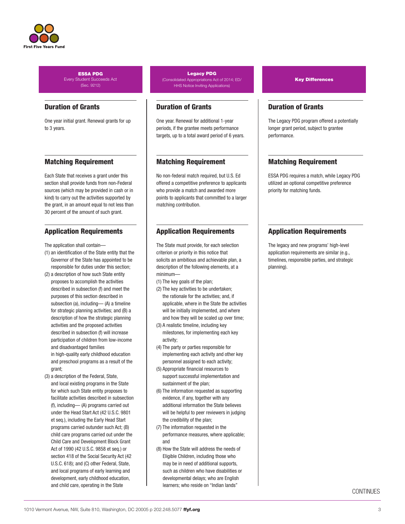

## Duration of Grants

One year initial grant. Renewal grants for up to 3 years.

## Matching Requirement

Each State that receives a grant under this section shall provide funds from non-Federal sources (which may be provided in cash or in kind) to carry out the activities supported by the grant, in an amount equal to not less than 30 percent of the amount of such grant.

## Application Requirements

The application shall contain—

- (1) an identification of the State entity that the Governor of the State has appointed to be responsible for duties under this section;
- (2) a description of how such State entity proposes to accomplish the activities described in subsection (f) and meet the purposes of this section described in subsection (a), including— (A) a timeline for strategic planning activities; and (B) a description of how the strategic planning activities and the proposed activities described in subsection (f) will increase participation of children from low-income and disadvantaged families in high-quality early childhood education and preschool programs as a result of the grant;
- (3) a description of the Federal, State, and local existing programs in the State for which such State entity proposes to facilitate activities described in subsection (f), including— (A) programs carried out under the Head Start Act (42 U.S.C. 9801 et seq.), including the Early Head Start programs carried outunder such Act; (B) child care programs carried out under the Child Care and Development Block Grant Act of 1990 (42 U.S.C. 9858 et seq.) or section 418 of the Social Security Act (42 U.S.C. 618); and (C) other Federal, State, and local programs of early learning and development, early childhood education, and child care, operating in the State

#### Legacy PDG (Consolidated Appropriations Act of 2014; ED/ HHS Notice Inviting Applications)

## Duration of Grants

One year. Renewal for additional 1-year periods, if the grantee meets performance targets, up to a total award period of 6 years.

## Matching Requirement

No non-federal match required, but U.S. Ed offered a competitive preference to applicants who provide a match and awarded more points to applicants that committed to a larger matching contribution.

## Application Requirements

The State must provide, for each selection criterion or priority in this notice that solicits an ambitious and achievable plan, a description of the following elements, at a minimum—

- (1) The key goals of the plan;
- (2) The key activities to be undertaken; the rationale for the activities; and, if applicable, where in the State the activities will be initially implemented, and where and how they will be scaled up over time;
- (3) A realistic timeline, including key milestones, for implementing each key activity;
- (4) The party or parties responsible for implementing each activity and other key personnel assigned to each activity;
- (5) Appropriate financial resources to support successful implementation and sustainment of the plan;
- (6) The information requested as supporting evidence, if any, together with any additional information the State believes will be helpful to peer reviewers in judging the credibility of the plan;
- (7) The information requested in the performance measures, where applicable; and
- (8) How the State will address the needs of Eligible Children, including those who may be in need of additional supports, such as children who have disabilities or developmental delays; who are English learners; who reside on "Indian lands"

Key Differences

## Duration of Grants

The Legacy PDG program offered a potentially longer grant period, subject to grantee performance.

## Matching Requirement

ESSA PDG requires a match, while Legacy PDG utilized an optional competitive preference priority for matching funds.

## Application Requirements

The legacy and new programs' high-level application requirements are similar (e.g., timelines, responsible parties, and strategic planning).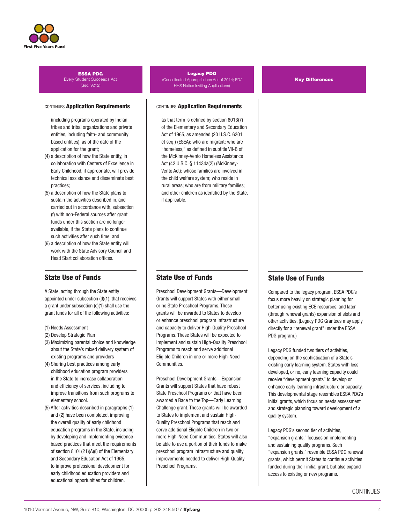

#### CONTINUES Application Requirements

 (including programs operated by Indian tribes and tribal organizations and private entities, including faith- and community based entities), as of the date of the application for the grant;

- (4) a description of how the State entity, in collaboration with Centers of Excellence in Early Childhood, if appropriate, will provide technical assistance and disseminate best practices;
- (5) a description of how the State plans to sustain the activities described in, and carried out in accordance with, subsection (f) with non-Federal sources after grant funds under this section are no longer available, if the State plans to continue such activities after such time; and
- (6) a description of how the State entity will work with the State Advisory Council and Head Start collaboration offices.

## State Use of Funds

A State, acting through the State entity appointed under subsection (d)(1), that receives a grant under subsection (c)(1) shall use the grant funds for all of the following activities:

- (1) Needs Assessment
- (2) Develop Strategic Plan
- (3) Maximizing parental choice and knowledge about the State's mixed delivery system of existing programs and providers
- (4) Sharing best practices among early childhood education program providers in the State to increase collaboration and efficiency of services, including to improve transitions from such programs to elementary school.
- (5) After activities described in paragraphs (1) and (2) have been completed, improving the overall quality of early childhood education programs in the State, including by developing and implementing evidencebased practices that meet the requirements of section 8101(21)(A)(i) of the Elementary and Secondary Education Act of 1965, to improve professional development for early childhood education providers and educational opportunities for children.

#### Legacy PDG (Consolidated Appropriations Act of 2014; ED/ HHS Notice Inviting Applications)

#### CONTINUES Application Requirements

 as that term is defined by section 8013(7) of the Elementary and Secondary Education Act of 1965, as amended (20 U.S.C. 6301 et seq.) (ESEA); who are migrant; who are "homeless," as defined in subtitle VII-B of the McKinney-Vento Homeless Assistance Act (42 U.S.C. § 11434a(2)) (McKinney-Vento Act); whose families are involved in the child welfare system; who reside in rural areas; who are from military families; and other children as identified by the State, if applicable.

## State Use of Funds

Preschool Development Grants—Development Grants will support States with either small or no State Preschool Programs. These grants will be awarded to States to develop or enhance preschool program infrastructure and capacity to deliver High-Quality Preschool Programs. These States will be expected to implement and sustain High-Quality Preschool Programs to reach and serve additional Eligible Children in one or more High-Need Communities.

Preschool Development Grants—Expansion Grants will support States that have robust State Preschool Programs or that have been awarded a Race to the Top—Early Learning Challenge grant. These grants will be awarded to States to implement and sustain High-Quality Preschool Programs that reach and serve additional Eligible Children in two or more High-Need Communities. States will also be able to use a portion of their funds to make preschool program infrastructure and quality improvements needed to deliver High-Quality Preschool Programs.

#### Key Differences

## State Use of Funds

Compared to the legacy program, ESSA PDG's focus more heavily on strategic planning for better using existing ECE resources, and later (through renewal grants) expansion of slots and other activities. (Legacy PDG Grantees may apply directly for a "renewal grant" under the ESSA PDG program.)

Legacy PDG funded two tiers of activities, depending on the sophistication of a State's existing early learning system. States with less developed, or no, early learning capacity could receive "development grants" to develop or enhance early learning infrastructure or capacity. This developmental stage resembles ESSA PDG's initial grants, which focus on needs assessment and strategic planning toward development of a quality system.

Legacy PDG's second tier of activities, "expansion grants," focuses on implementing and sustaining quality programs. Such "expansion grants," resemble ESSA PDG renewal grants, which permit States to continue activities funded during their initial grant, but also expand access to existing or new programs.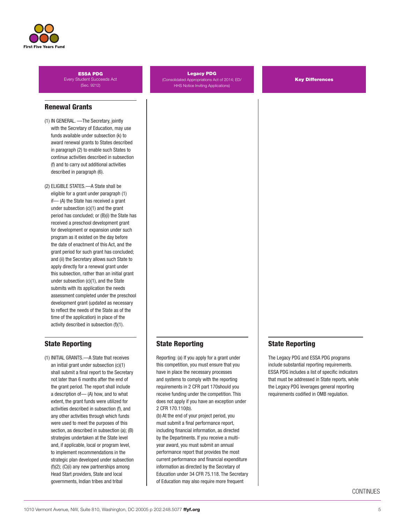

## Renewal Grants

- (1) IN GENERAL. —The Secretary, jointly with the Secretary of Education, may use funds available under subsection (k) to award renewal grants to States described in paragraph (2) to enable such States to continue activities described in subsection (f) and to carry out additional activities described in paragraph (6).
- (2) ELIGIBLE STATES.—A State shall be eligible for a grant under paragraph (1) if— (A) the State has received a grant under subsection (c)(1) and the grant period has concluded; or (B)(i) the State has received a preschool development grant for development or expansion under such program as it existed on the day before the date of enactment of this Act, and the grant period for such grant has concluded; and (ii) the Secretary allows such State to apply directly for a renewal grant under this subsection, rather than an initial grant under subsection (c)(1), and the State submits with its application the needs assessment completed under the preschool development grant (updated as necessary to reflect the needs of the State as of the time of the application) in place of the activity described in subsection (f)(1).

## State Reporting

(1) INITIAL GRANTS.—A State that receives an initial grant under subsection (c)(1) shall submit a final report to the Secretary not later than 6 months after the end of the grant period. The report shall include a description of— (A) how, and to what extent, the grant funds were utilized for activities described in subsection (f), and any other activities through which funds were used to meet the purposes of this section, as described in subsection (a); (B) strategies undertaken at the State level and, if applicable, local or program level, to implement recommendations in the strategic plan developed under subsection (f)(2); (C)(i) any new partnerships among Head Start providers, State and local governments, Indian tribes and tribal

#### Legacy PDG

(Consolidated Appropriations Act of 2014; ED/ HHS Notice Inviting Applications)

Key Differences

## State Reporting

Reporting: (a) If you apply for a grant under this competition, you must ensure that you have in place the necessary processes and systems to comply with the reporting requirements in 2 CFR part 170should you receive funding under the competition. This does not apply if you have an exception under 2 CFR 170.110(b).

(b) At the end of your project period, you must submit a final performance report, including financial information, as directed by the Departments. If you receive a multiyear award, you must submit an annual performance report that provides the most current performance and financial expenditure information as directed by the Secretary of Education under 34 CFR 75.118. The Secretary of Education may also require more frequent

## State Reporting

The Legacy PDG and ESSA PDG programs include substantial reporting requirements. ESSA PDG includes a list of specific indicators that must be addressed in State reports, while the Legacy PDG leverages general reporting requirements codified in OMB regulation.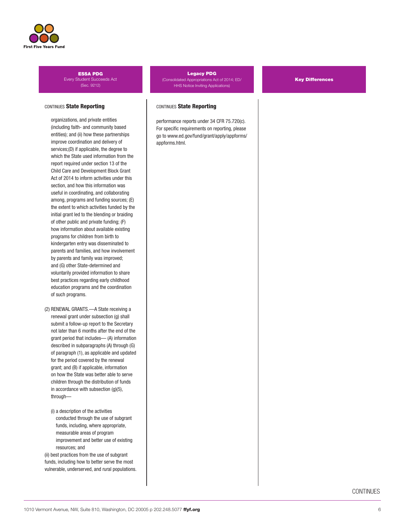

#### CONTINUES State Reporting

 organizations, and private entities (including faith- and community based entities); and (ii) how these partnerships improve coordination and delivery of services;(D) if applicable, the degree to which the State used information from the report required under section 13 of the Child Care and Development Block Grant Act of 2014 to inform activities under this section, and how this information was useful in coordinating, and collaborating among, programs and funding sources; (E) the extent to which activities funded by the initial grant led to the blending or braiding of other public and private funding; (F) how information about available existing programs for children from birth to kindergarten entry was disseminated to parents and families, and how involvement by parents and family was improved; and (G) other State-determined and voluntarily provided information to share best practices regarding early childhood education programs and the coordination of such programs.

- (2) RENEWAL GRANTS.—A State receiving a renewal grant under subsection (g) shall submit a follow-up report to the Secretary not later than 6 months after the end of the grant period that includes— (A) information described in subparagraphs (A) through (G) of paragraph (1), as applicable and updated for the period covered by the renewal grant; and (B) if applicable, information on how the State was better able to serve children through the distribution of funds in accordance with subsection (g)(5), through—
	- (i) a description of the activities conducted through the use of subgrant funds, including, where appropriate, measurable areas of program improvement and better use of existing resources; and

(ii) best practices from the use of subgrant funds, including how to better serve the most vulnerable, underserved, and rural populations.

#### Legacy PDG (Consolidated Appropriations Act of 2014; ED/ HHS Notice Inviting Applications)

performance reports under 34 CFR 75.720(c). For specific requirements on reporting, please go to www.ed.gov/fund/grant/apply/appforms/ Key Differences

appforms.html.

CONTINUES State Reporting

CONTINUES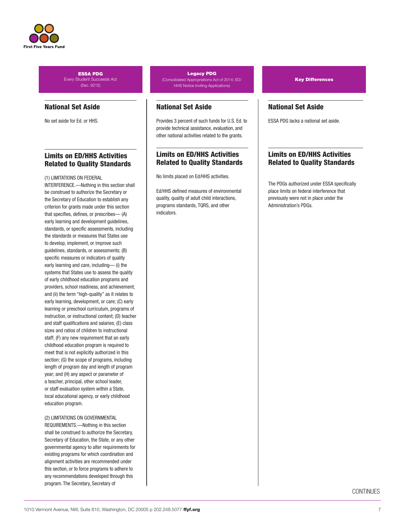

## National Set Aside

No set aside for Ed. or HHS.

## Limits on ED/HHS Activities Related to Quality Standards

#### (1) LIMITATIONS ON FEDERAL

INTERFERENCE.—Nothing in this section shall be construed to authorize the Secretary or the Secretary of Education to establish any criterion for grants made under this section that specifies, defines, or prescribes— (A) early learning and development guidelines, standards, or specific assessments, including the standards or measures that States use to develop, implement, or improve such guidelines, standards, or assessments; (B) specific measures or indicators of quality early learning and care, including— (i) the systems that States use to assess the quality of early childhood education programs and providers, school readiness, and achievement; and (ii) the term "high-quality" as it relates to early learning, development, or care; (C) early learning or preschool curriculum, programs of instruction, or instructional content; (D) teacher and staff qualifications and salaries; (E) class sizes and ratios of children to instructional staff; (F) any new requirement that an early childhood education program is required to meet that is not explicitly authorized in this section; (G) the scope of programs, including length of program day and length of program year; and (H) any aspect or parameter of a teacher, principal, other school leader, or staff evaluation system within a State, local educational agency, or early childhood education program.

(2) LIMITATIONS ON GOVERNMENTAL REQUIREMENTS.—Nothing in this section shall be construed to authorize the Secretary, Secretary of Education, the State, or any other governmental agency to alter requirements for existing programs for which coordination and alignment activities are recommended under this section, or to force programs to adhere to any recommendations developed through this program. The Secretary, Secretary of

#### Legacy PDG (Consolidated Appropriations Act of 2014; ED/ HHS Notice Inviting Applications)

## National Set Aside

Provides 3 percent of such funds for U.S. Ed. to provide technical assistance, evaluation, and other national activities related to the grants.

## Limits on ED/HHS Activities Related to Quality Standards

No limits placed on Ed/HHS activities.

Ed/HHS defined measures of environmental quality, quality of adult child interactions, programs standards, TQRS, and other indicators.

Key Differences

## National Set Aside

ESSA PDG lacks a national set aside.

## Limits on ED/HHS Activities Related to Quality Standards

The PDGs authorized under ESSA specifically place limits on federal interference that previously were not in place under the Administration's PDGs.